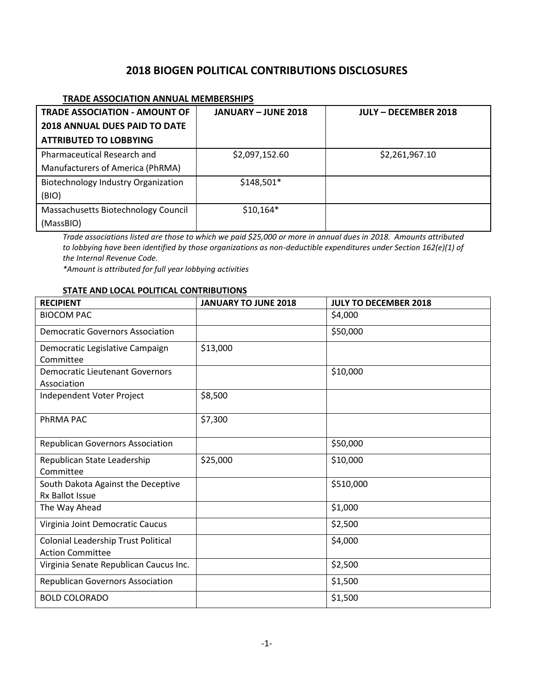# **2018 BIOGEN POLITICAL CONTRIBUTIONS DISCLOSURES**

### **TRADE ASSOCIATION ANNUAL MEMBERSHIPS**

| <b>TRADE ASSOCIATION - AMOUNT OF</b>       | <b>JANUARY - JUNE 2018</b> | <b>JULY - DECEMBER 2018</b> |
|--------------------------------------------|----------------------------|-----------------------------|
| <b>2018 ANNUAL DUES PAID TO DATE</b>       |                            |                             |
| <b>ATTRIBUTED TO LOBBYING</b>              |                            |                             |
| Pharmaceutical Research and                | \$2,097,152.60             | \$2,261,967.10              |
| Manufacturers of America (PhRMA)           |                            |                             |
| <b>Biotechnology Industry Organization</b> | \$148,501*                 |                             |
| (BIO)                                      |                            |                             |
| Massachusetts Biotechnology Council        | $$10,164*$                 |                             |
| (MassBIO)                                  |                            |                             |

*Trade associations listed are those to which we paid \$25,000 or more in annual dues in 2018. Amounts attributed to lobbying have been identified by those organizations as non-deductible expenditures under Section 162(e)(1) of the Internal Revenue Code.*

*\*Amount is attributed for full year lobbying activities*

#### **STATE AND LOCAL POLITICAL CONTRIBUTIONS**

| <b>RECIPIENT</b>                        | <b>JANUARY TO JUNE 2018</b> | <b>JULY TO DECEMBER 2018</b> |
|-----------------------------------------|-----------------------------|------------------------------|
| <b>BIOCOM PAC</b>                       |                             | \$4,000                      |
| <b>Democratic Governors Association</b> |                             | \$50,000                     |
| Democratic Legislative Campaign         | \$13,000                    |                              |
| Committee                               |                             |                              |
| <b>Democratic Lieutenant Governors</b>  |                             | \$10,000                     |
| Association                             |                             |                              |
| Independent Voter Project               | \$8,500                     |                              |
| <b>PHRMA PAC</b>                        | \$7,300                     |                              |
| <b>Republican Governors Association</b> |                             | \$50,000                     |
| Republican State Leadership             | \$25,000                    | \$10,000                     |
| Committee                               |                             |                              |
| South Dakota Against the Deceptive      |                             | \$510,000                    |
| Rx Ballot Issue                         |                             |                              |
| The Way Ahead                           |                             | \$1,000                      |
| Virginia Joint Democratic Caucus        |                             | \$2,500                      |
| Colonial Leadership Trust Political     |                             | \$4,000                      |
| <b>Action Committee</b>                 |                             |                              |
| Virginia Senate Republican Caucus Inc.  |                             | \$2,500                      |
| <b>Republican Governors Association</b> |                             | \$1,500                      |
| <b>BOLD COLORADO</b>                    |                             | \$1,500                      |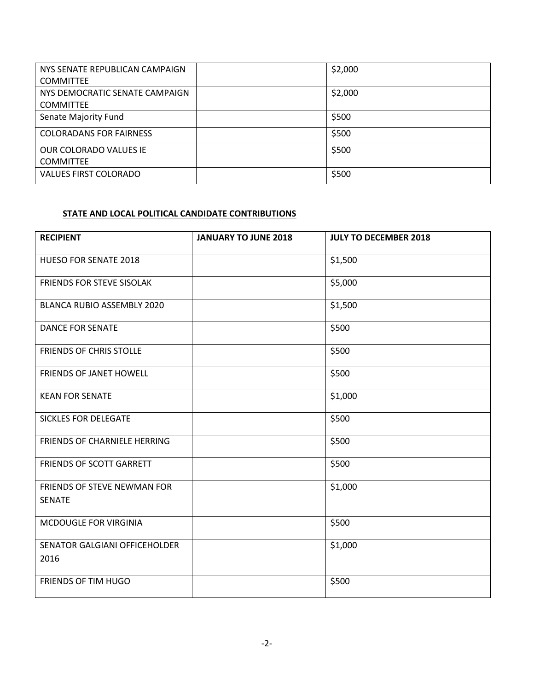| NYS SENATE REPUBLICAN CAMPAIGN | \$2,000 |
|--------------------------------|---------|
| <b>COMMITTEE</b>               |         |
| NYS DEMOCRATIC SENATE CAMPAIGN | \$2,000 |
| <b>COMMITTEE</b>               |         |
| Senate Majority Fund           | \$500   |
| <b>COLORADANS FOR FAIRNESS</b> | \$500   |
| OUR COLORADO VALUES IE         | \$500   |
| <b>COMMITTEE</b>               |         |
| <b>VALUES FIRST COLORADO</b>   | \$500   |
|                                |         |

## **STATE AND LOCAL POLITICAL CANDIDATE CONTRIBUTIONS**

| <b>RECIPIENT</b>                             | <b>JANUARY TO JUNE 2018</b> | <b>JULY TO DECEMBER 2018</b> |
|----------------------------------------------|-----------------------------|------------------------------|
| <b>HUESO FOR SENATE 2018</b>                 |                             | \$1,500                      |
| FRIENDS FOR STEVE SISOLAK                    |                             | \$5,000                      |
| <b>BLANCA RUBIO ASSEMBLY 2020</b>            |                             | \$1,500                      |
| <b>DANCE FOR SENATE</b>                      |                             | \$500                        |
| <b>FRIENDS OF CHRIS STOLLE</b>               |                             | \$500                        |
| <b>FRIENDS OF JANET HOWELL</b>               |                             | \$500                        |
| <b>KEAN FOR SENATE</b>                       |                             | \$1,000                      |
| <b>SICKLES FOR DELEGATE</b>                  |                             | \$500                        |
| FRIENDS OF CHARNIELE HERRING                 |                             | \$500                        |
| FRIENDS OF SCOTT GARRETT                     |                             | \$500                        |
| FRIENDS OF STEVE NEWMAN FOR<br><b>SENATE</b> |                             | \$1,000                      |
| MCDOUGLE FOR VIRGINIA                        |                             | \$500                        |
| SENATOR GALGIANI OFFICEHOLDER<br>2016        |                             | \$1,000                      |
| FRIENDS OF TIM HUGO                          |                             | \$500                        |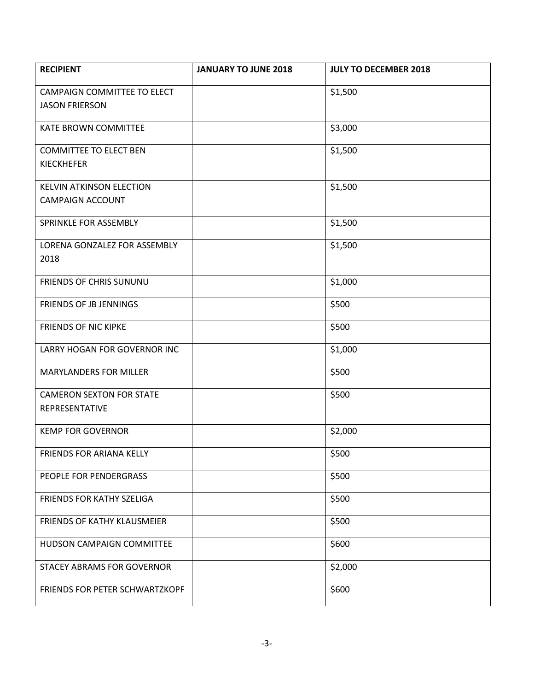| <b>RECIPIENT</b>                     | <b>JANUARY TO JUNE 2018</b> | <b>JULY TO DECEMBER 2018</b> |
|--------------------------------------|-----------------------------|------------------------------|
| CAMPAIGN COMMITTEE TO ELECT          |                             | \$1,500                      |
| <b>JASON FRIERSON</b>                |                             |                              |
| <b>KATE BROWN COMMITTEE</b>          |                             | \$3,000                      |
| <b>COMMITTEE TO ELECT BEN</b>        |                             | \$1,500                      |
| <b>KIECKHEFER</b>                    |                             |                              |
| <b>KELVIN ATKINSON ELECTION</b>      |                             | \$1,500                      |
| <b>CAMPAIGN ACCOUNT</b>              |                             |                              |
| SPRINKLE FOR ASSEMBLY                |                             | \$1,500                      |
| LORENA GONZALEZ FOR ASSEMBLY<br>2018 |                             | \$1,500                      |
| FRIENDS OF CHRIS SUNUNU              |                             | \$1,000                      |
| FRIENDS OF JB JENNINGS               |                             | \$500                        |
| <b>FRIENDS OF NIC KIPKE</b>          |                             | \$500                        |
| LARRY HOGAN FOR GOVERNOR INC         |                             | \$1,000                      |
| <b>MARYLANDERS FOR MILLER</b>        |                             | \$500                        |
| <b>CAMERON SEXTON FOR STATE</b>      |                             | \$500                        |
| REPRESENTATIVE                       |                             |                              |
| <b>KEMP FOR GOVERNOR</b>             |                             | \$2,000                      |
| FRIENDS FOR ARIANA KELLY             |                             | \$500                        |
| PEOPLE FOR PENDERGRASS               |                             | \$500                        |
| FRIENDS FOR KATHY SZELIGA            |                             | \$500                        |
| FRIENDS OF KATHY KLAUSMEIER          |                             | \$500                        |
| HUDSON CAMPAIGN COMMITTEE            |                             | \$600                        |
| <b>STACEY ABRAMS FOR GOVERNOR</b>    |                             | \$2,000                      |
| FRIENDS FOR PETER SCHWARTZKOPF       |                             | \$600                        |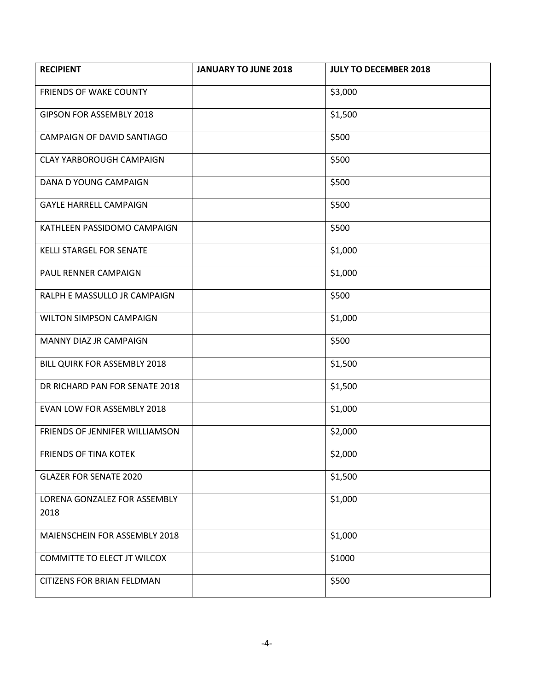| <b>RECIPIENT</b>                     | <b>JANUARY TO JUNE 2018</b> | <b>JULY TO DECEMBER 2018</b> |
|--------------------------------------|-----------------------------|------------------------------|
| <b>FRIENDS OF WAKE COUNTY</b>        |                             | \$3,000                      |
| GIPSON FOR ASSEMBLY 2018             |                             | \$1,500                      |
| CAMPAIGN OF DAVID SANTIAGO           |                             | \$500                        |
| <b>CLAY YARBOROUGH CAMPAIGN</b>      |                             | \$500                        |
| DANA D YOUNG CAMPAIGN                |                             | \$500                        |
| <b>GAYLE HARRELL CAMPAIGN</b>        |                             | \$500                        |
| KATHLEEN PASSIDOMO CAMPAIGN          |                             | \$500                        |
| <b>KELLI STARGEL FOR SENATE</b>      |                             | \$1,000                      |
| PAUL RENNER CAMPAIGN                 |                             | \$1,000                      |
| RALPH E MASSULLO JR CAMPAIGN         |                             | \$500                        |
| WILTON SIMPSON CAMPAIGN              |                             | \$1,000                      |
| MANNY DIAZ JR CAMPAIGN               |                             | \$500                        |
| BILL QUIRK FOR ASSEMBLY 2018         |                             | \$1,500                      |
| DR RICHARD PAN FOR SENATE 2018       |                             | \$1,500                      |
| EVAN LOW FOR ASSEMBLY 2018           |                             | \$1,000                      |
| FRIENDS OF JENNIFER WILLIAMSON       |                             | \$2,000                      |
| FRIENDS OF TINA KOTEK                |                             | \$2,000                      |
| <b>GLAZER FOR SENATE 2020</b>        |                             | \$1,500                      |
| LORENA GONZALEZ FOR ASSEMBLY<br>2018 |                             | \$1,000                      |
| MAIENSCHEIN FOR ASSEMBLY 2018        |                             | \$1,000                      |
| COMMITTE TO ELECT JT WILCOX          |                             | \$1000                       |
| CITIZENS FOR BRIAN FELDMAN           |                             | \$500                        |